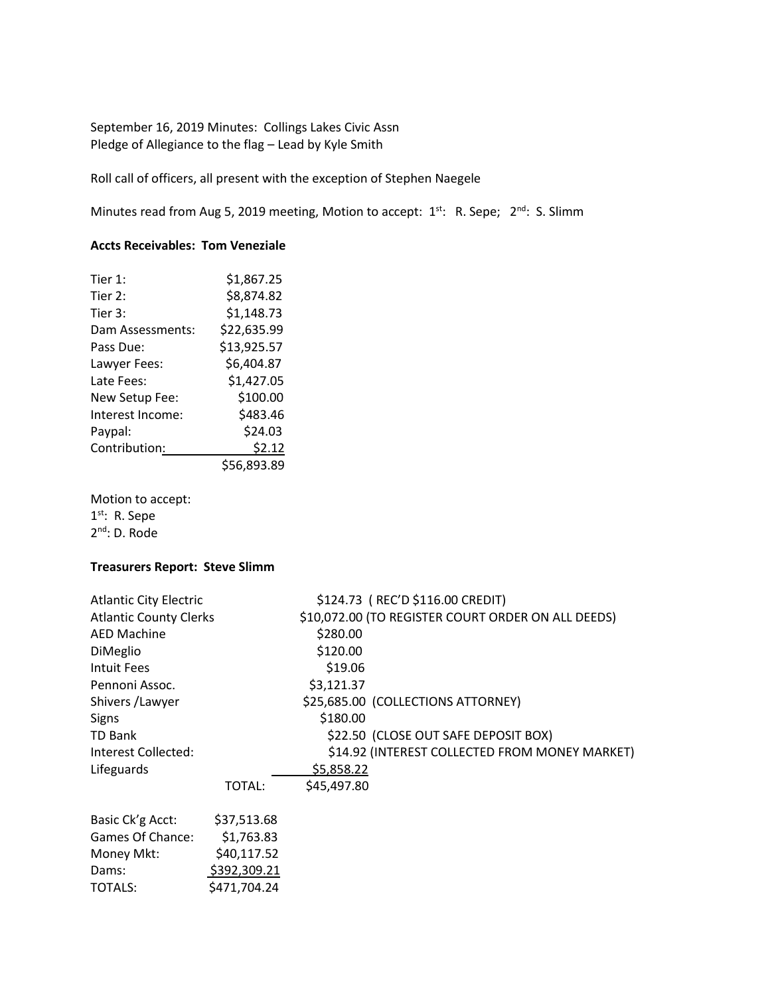September 16, 2019 Minutes: Collings Lakes Civic Assn Pledge of Allegiance to the flag – Lead by Kyle Smith

Roll call of officers, all present with the exception of Stephen Naegele

Minutes read from Aug 5, 2019 meeting, Motion to accept:  $1^{st}$ : R. Sepe;  $2^{nd}$ : S. Slimm

# **Accts Receivables: Tom Veneziale**

| Tier 1:          | \$1,867.25  |
|------------------|-------------|
| Tier 2:          | \$8,874.82  |
| Tier 3:          | \$1,148.73  |
| Dam Assessments: | \$22,635.99 |
| Pass Due:        | \$13,925.57 |
| Lawyer Fees:     | \$6,404.87  |
| Late Fees:       | \$1,427.05  |
| New Setup Fee:   | \$100.00    |
| Interest Income: | \$483.46    |
| Paypal:          | \$24.03     |
| Contribution:    | \$2.12      |
|                  | \$56,893.89 |

Motion to accept: 1<sup>st</sup>: R. Sepe 2<sup>nd</sup>: D. Rode

## **Treasurers Report: Steve Slimm**

| <b>Atlantic City Electric</b> |              | \$124.73 (REC'D \$116.00 CREDIT)                   |
|-------------------------------|--------------|----------------------------------------------------|
| <b>Atlantic County Clerks</b> |              | \$10,072.00 (TO REGISTER COURT ORDER ON ALL DEEDS) |
| <b>AED Machine</b>            |              | \$280.00                                           |
| DiMeglio                      |              | \$120.00                                           |
| Intuit Fees                   |              | \$19.06                                            |
| Pennoni Assoc.                |              | \$3,121.37                                         |
| Shivers / Lawyer              |              | \$25,685.00 (COLLECTIONS ATTORNEY)                 |
| <b>Signs</b>                  |              | \$180.00                                           |
| <b>TD Bank</b>                |              | \$22.50 (CLOSE OUT SAFE DEPOSIT BOX)               |
| Interest Collected:           |              | \$14.92 (INTEREST COLLECTED FROM MONEY MARKET)     |
| Lifeguards                    |              | \$5,858.22                                         |
|                               | TOTAL:       | \$45,497.80                                        |
| Basic Ck'g Acct:              | \$37,513.68  |                                                    |
| Games Of Chance:              | \$1,763.83   |                                                    |
| Money Mkt:                    | \$40,117.52  |                                                    |
| Dams:                         | \$392,309.21 |                                                    |
| <b>TOTALS:</b>                | \$471,704.24 |                                                    |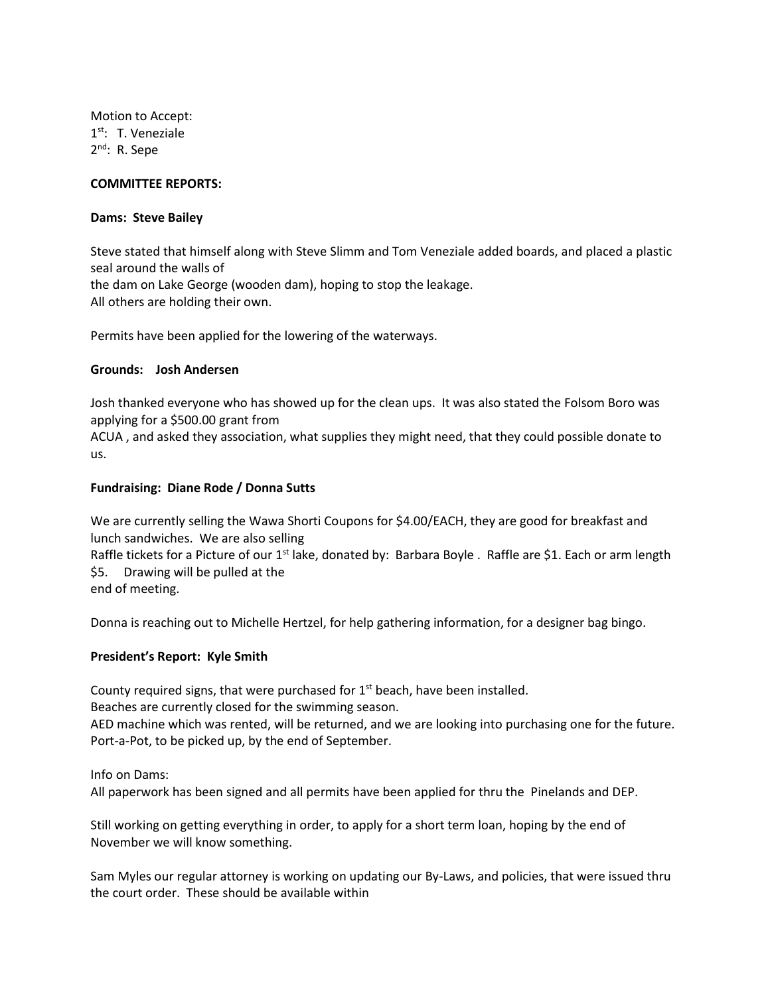Motion to Accept: 1<sup>st</sup>: T. Veneziale 2<sup>nd</sup>: R. Sepe

### **COMMITTEE REPORTS:**

#### **Dams: Steve Bailey**

Steve stated that himself along with Steve Slimm and Tom Veneziale added boards, and placed a plastic seal around the walls of the dam on Lake George (wooden dam), hoping to stop the leakage. All others are holding their own.

Permits have been applied for the lowering of the waterways.

#### **Grounds: Josh Andersen**

Josh thanked everyone who has showed up for the clean ups. It was also stated the Folsom Boro was applying for a \$500.00 grant from

ACUA , and asked they association, what supplies they might need, that they could possible donate to us.

### **Fundraising: Diane Rode / Donna Sutts**

We are currently selling the Wawa Shorti Coupons for \$4.00/EACH, they are good for breakfast and lunch sandwiches. We are also selling

Raffle tickets for a Picture of our 1<sup>st</sup> lake, donated by: Barbara Boyle . Raffle are \$1. Each or arm length \$5. Drawing will be pulled at the

end of meeting.

Donna is reaching out to Michelle Hertzel, for help gathering information, for a designer bag bingo.

#### **President's Report: Kyle Smith**

County required signs, that were purchased for  $1<sup>st</sup>$  beach, have been installed. Beaches are currently closed for the swimming season. AED machine which was rented, will be returned, and we are looking into purchasing one for the future. Port-a-Pot, to be picked up, by the end of September.

Info on Dams:

All paperwork has been signed and all permits have been applied for thru the Pinelands and DEP.

Still working on getting everything in order, to apply for a short term loan, hoping by the end of November we will know something.

Sam Myles our regular attorney is working on updating our By-Laws, and policies, that were issued thru the court order. These should be available within